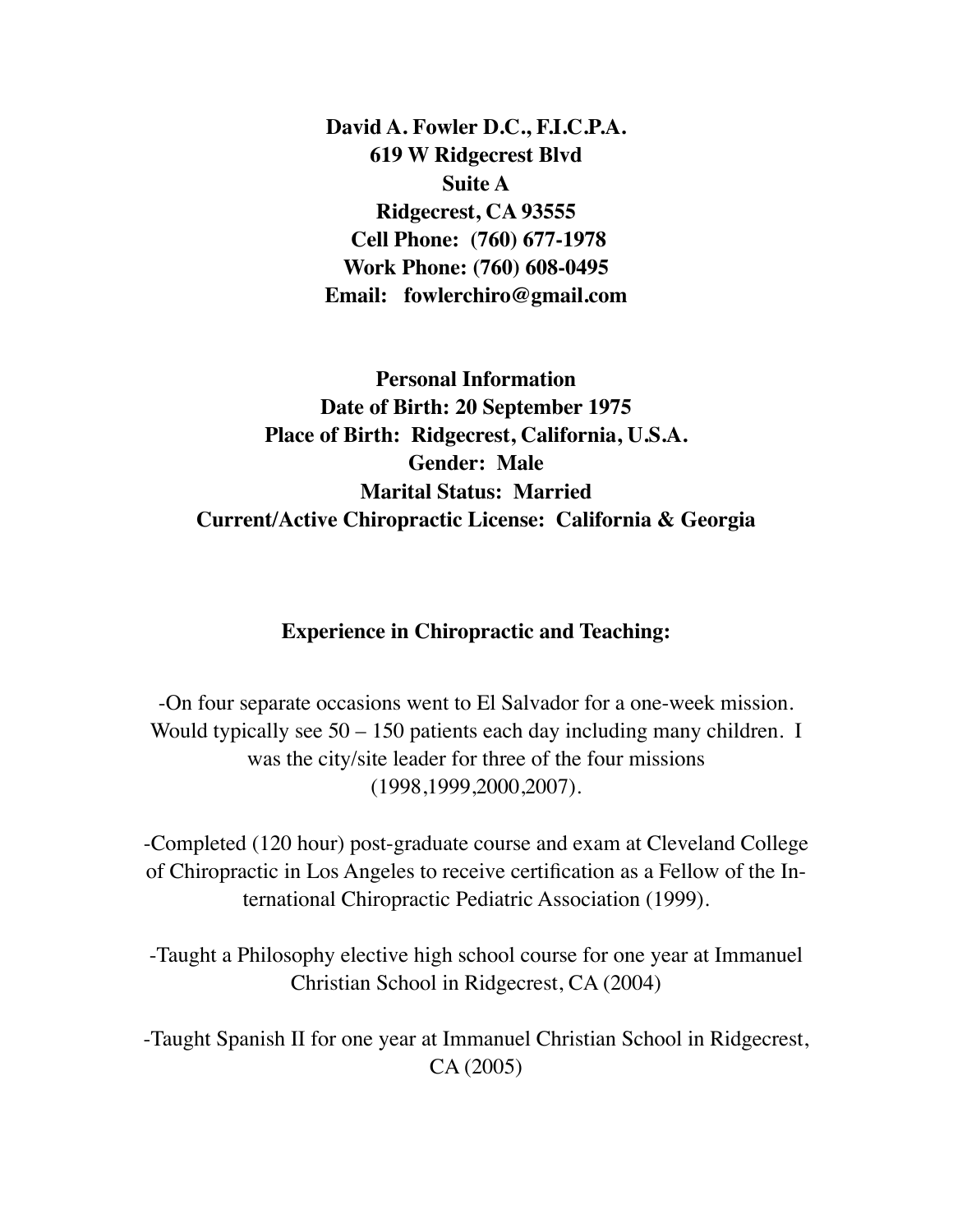**David A. Fowler D.C., F.I.C.P.A. 619 W Ridgecrest Blvd Suite A Ridgecrest, CA 93555 Cell Phone: (760) 677-1978 Work Phone: (760) 608-0495 Email: fowlerchiro@gmail.com**

**Personal Information Date of Birth: 20 September 1975 Place of Birth: Ridgecrest, California, U.S.A. Gender: Male Marital Status: Married Current/Active Chiropractic License: California & Georgia**

### **Experience in Chiropractic and Teaching:**

-On four separate occasions went to El Salvador for a one-week mission. Would typically see 50 – 150 patients each day including many children. I was the city/site leader for three of the four missions (1998,1999,2000,2007).

-Completed (120 hour) post-graduate course and exam at Cleveland College of Chiropractic in Los Angeles to receive certification as a Fellow of the International Chiropractic Pediatric Association (1999).

-Taught a Philosophy elective high school course for one year at Immanuel Christian School in Ridgecrest, CA (2004)

-Taught Spanish II for one year at Immanuel Christian School in Ridgecrest, CA (2005)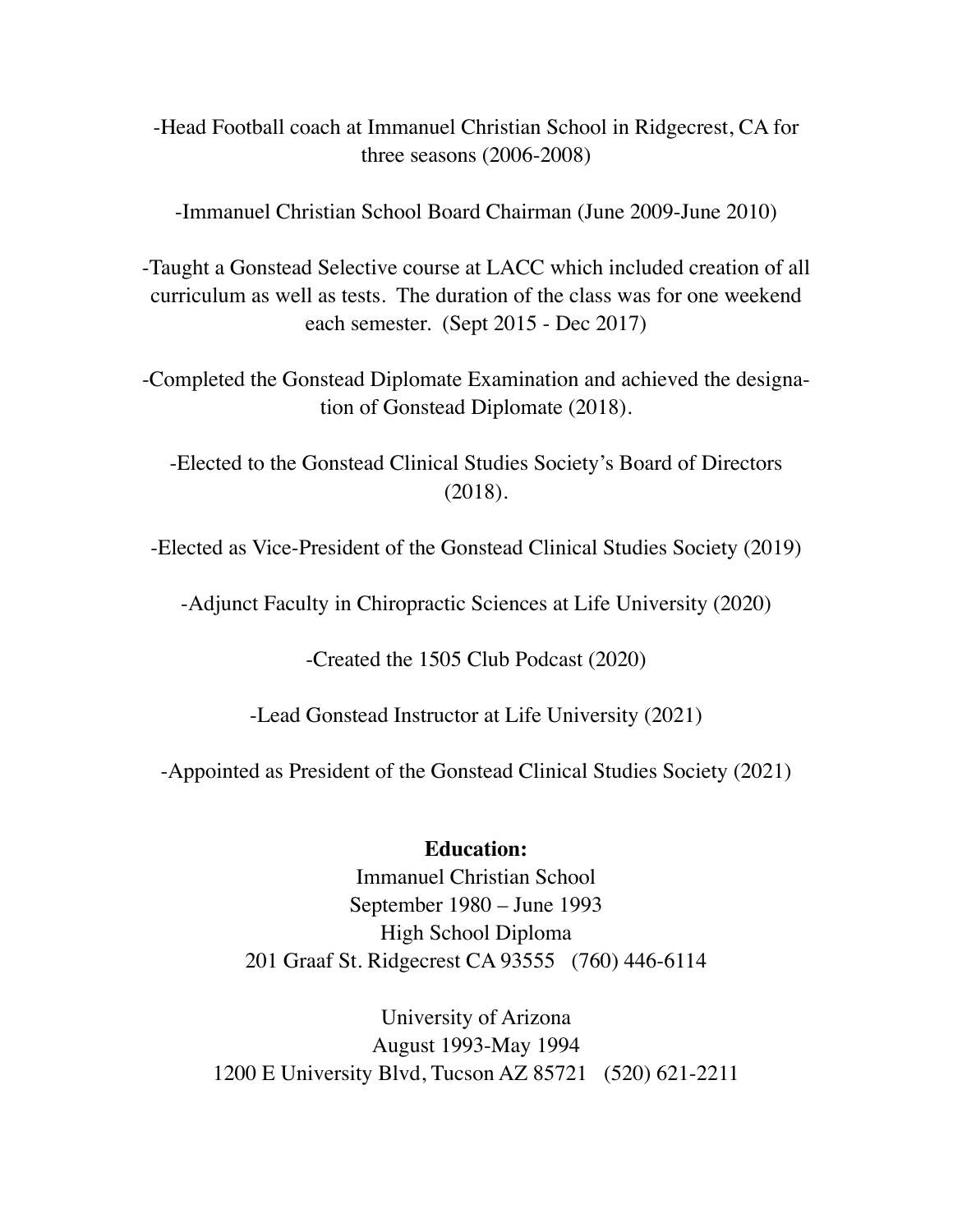# -Head Football coach at Immanuel Christian School in Ridgecrest, CA for three seasons (2006-2008)

-Immanuel Christian School Board Chairman (June 2009-June 2010)

-Taught a Gonstead Selective course at LACC which included creation of all curriculum as well as tests. The duration of the class was for one weekend each semester. (Sept 2015 - Dec 2017)

-Completed the Gonstead Diplomate Examination and achieved the designation of Gonstead Diplomate (2018).

-Elected to the Gonstead Clinical Studies Society's Board of Directors (2018).

-Elected as Vice-President of the Gonstead Clinical Studies Society (2019)

-Adjunct Faculty in Chiropractic Sciences at Life University (2020)

-Created the 1505 Club Podcast (2020)

-Lead Gonstead Instructor at Life University (2021)

-Appointed as President of the Gonstead Clinical Studies Society (2021)

## **Education:**

Immanuel Christian School September 1980 – June 1993 High School Diploma 201 Graaf St. Ridgecrest CA 93555 (760) 446-6114

University of Arizona August 1993-May 1994 1200 E University Blvd, Tucson AZ 85721 (520) 621-2211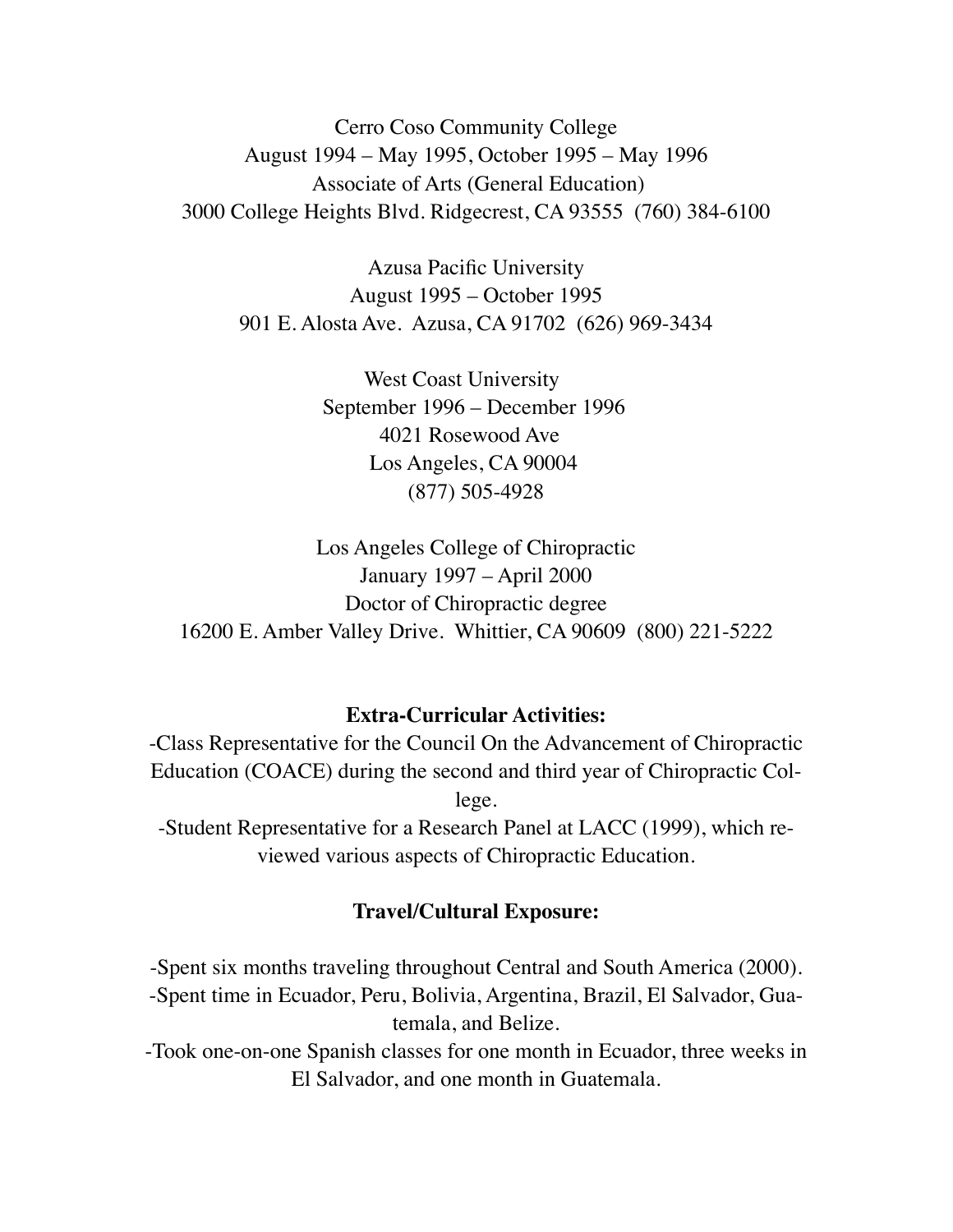Cerro Coso Community College August 1994 – May 1995, October 1995 – May 1996 Associate of Arts (General Education) 3000 College Heights Blvd. Ridgecrest, CA 93555 (760) 384-6100

Azusa Pacific University August 1995 – October 1995 901 E. Alosta Ave. Azusa, CA 91702 (626) 969-3434

> West Coast University September 1996 – December 1996 4021 Rosewood Ave Los Angeles, CA 90004 (877) 505-4928

Los Angeles College of Chiropractic January 1997 – April 2000 Doctor of Chiropractic degree 16200 E. Amber Valley Drive. Whittier, CA 90609 (800) 221-5222

#### **Extra-Curricular Activities:**

-Class Representative for the Council On the Advancement of Chiropractic Education (COACE) during the second and third year of Chiropractic College. -Student Representative for a Research Panel at LACC (1999), which reviewed various aspects of Chiropractic Education.

#### **Travel/Cultural Exposure:**

-Spent six months traveling throughout Central and South America (2000). -Spent time in Ecuador, Peru, Bolivia, Argentina, Brazil, El Salvador, Guatemala, and Belize.

-Took one-on-one Spanish classes for one month in Ecuador, three weeks in El Salvador, and one month in Guatemala.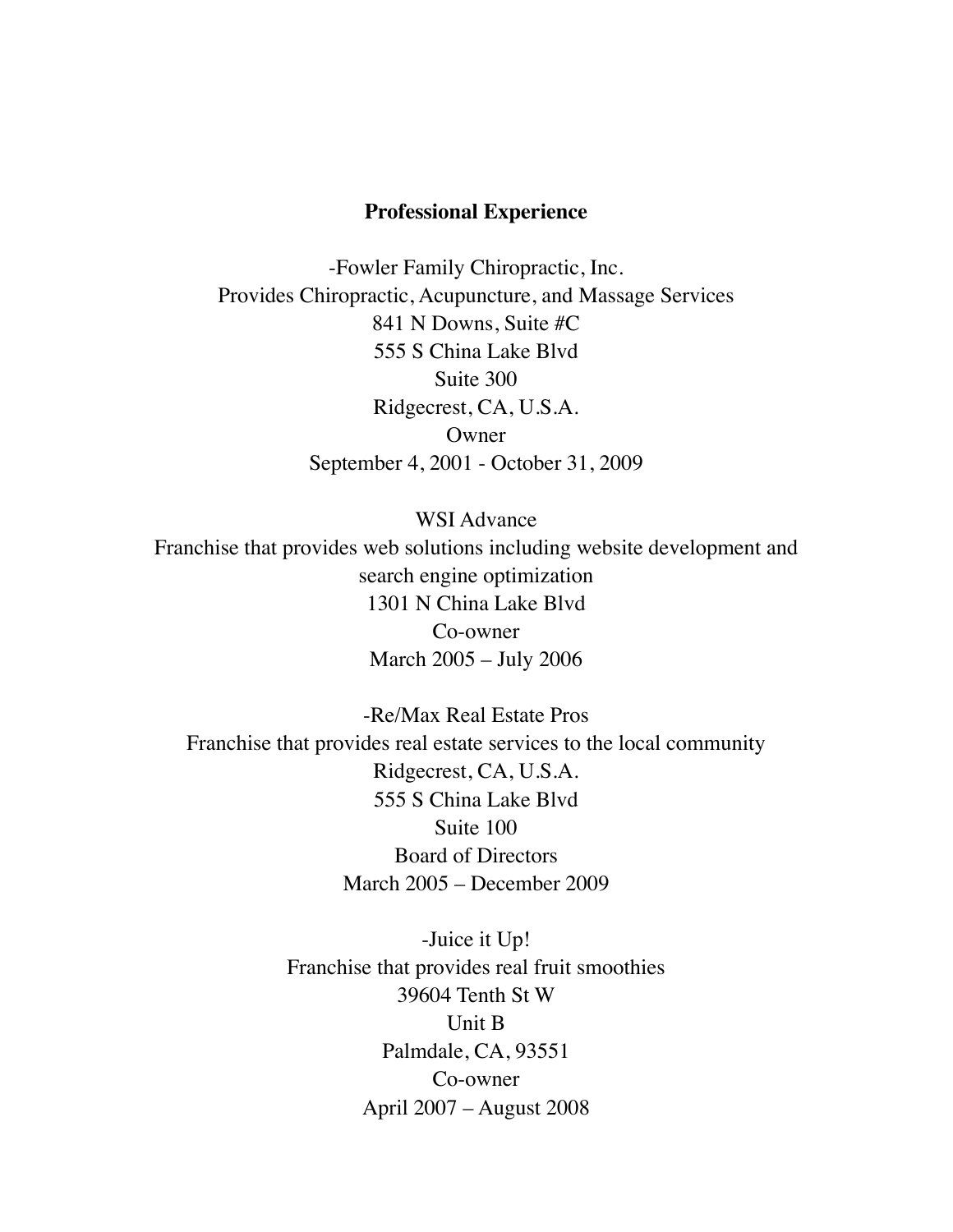#### **Professional Experience**

-Fowler Family Chiropractic, Inc. Provides Chiropractic, Acupuncture, and Massage Services 841 N Downs, Suite #C 555 S China Lake Blvd Suite 300 Ridgecrest, CA, U.S.A. **Owner** September 4, 2001 - October 31, 2009

WSI Advance Franchise that provides web solutions including website development and search engine optimization 1301 N China Lake Blvd Co-owner March 2005 – July 2006

-Re/Max Real Estate Pros Franchise that provides real estate services to the local community Ridgecrest, CA, U.S.A. 555 S China Lake Blvd Suite 100 Board of Directors March 2005 – December 2009

> -Juice it Up! Franchise that provides real fruit smoothies 39604 Tenth St W Unit B Palmdale, CA, 93551 Co-owner April 2007 – August 2008